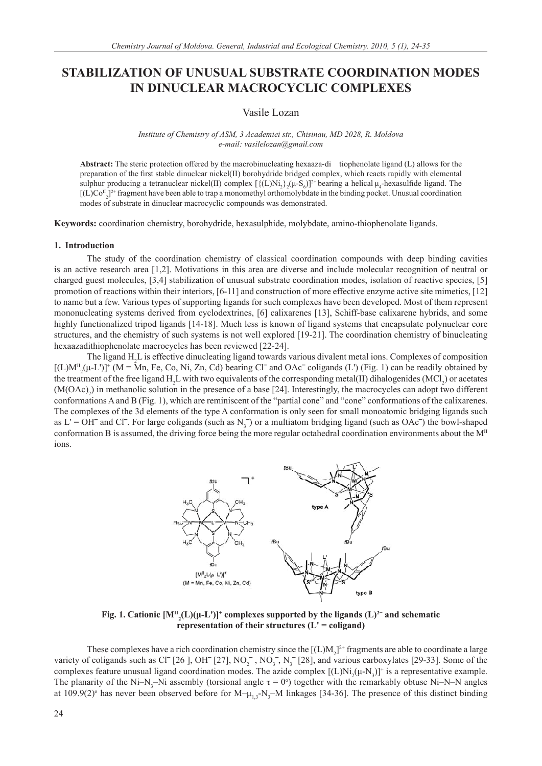# **STABILIZATION OF UNUSUAL SUBSTRATE COORDINATION MODES IN DINUCLEAR MACROCYCLIC COMPLEXES**

# Vasile Lozan

#### *Institute of Chemistry of ASM, 3 Academiei str., Chisinau, MD 2028, R. Moldova e-mail: vasilelozan@gmail.com*

**Abstract:** The steric protection offered by the macrobinucleating hexaaza-di tiophenolate ligand (L) allows for the preparation of the first stable dinuclear nickel(II) borohydride bridged complex, which reacts rapidly with elemental sulphur producing a tetranuclear nickel(II) complex  $[\{(L)Ni_2\}_2(\mu-S_6)]^{2+}$  bearing a helical  $\mu_4$ -hexasulfide ligand. The  $[(L)Co_{2}]^{2+}$  fragment have been able to trap a monomethyl orthomolybdate in the binding pocket. Unusual coordination modes of substrate in dinuclear macrocyclic compounds was demonstrated.

**Keywords:** coordination chemistry, borohydride, hexasulphide, molybdate, amino-thiophenolate ligands.

#### **1. Introduction**

The study of the coordination chemistry of classical coordination compounds with deep binding cavities is an active research area [1,2]. Motivations in this area are diverse and include molecular recognition of neutral or charged guest molecules, [3,4] stabilization of unusual substrate coordination modes, isolation of reactive species, [5] promotion of reactions within their interiors, [6-11] and construction of more effective enzyme active site mimetics, [12] to name but a few. Various types of supporting ligands for such complexes have been developed. Most of them represent mononucleating systems derived from cyclodextrines, [6] calixarenes [13], Schiff-base calixarene hybrids, and some highly functionalized tripod ligands [14-18]. Much less is known of ligand systems that encapsulate polynuclear core structures, and the chemistry of such systems is not well explored [19-21]. The coordination chemistry of binucleating hexaazadithiophenolate macrocycles has been reviewed [22-24].

The ligand H<sub>2</sub>L is effective dinucleating ligand towards various divalent metal ions. Complexes of composition  $[(L)M_{2}^{II}(\mu-L')]^{+}$  (M = Mn, Fe, Co, Ni, Zn, Cd) bearing Cl<sup>-</sup> and OAc<sup>-</sup> coligands (L') (Fig. 1) can be readily obtained by the treatment of the free ligand  $H_2L$  with two equivalents of the corresponding metal(II) dihalogenides (MCl<sub>2</sub>) or acetates  $(M(OAc)<sub>2</sub>)$  in methanolic solution in the presence of a base [24]. Interestingly, the macrocycles can adopt two different conformations A and B (Fig. 1), which are reminiscent of the "partial cone" and "cone" conformations of the calixarenes. The complexes of the 3d elements of the type A conformation is only seen for small monoatomic bridging ligands such as  $L' = OH^-$  and Cl<sup>-</sup>. For large coligands (such as  $N_3^-$ ) or a multiatom bridging ligand (such as OAc<sup>-</sup>) the bowl-shaped conformation B is assumed, the driving force being the more regular octahedral coordination environments about the  $M<sup>H</sup>$ ions.



**Fig. 1.** Cationic  $[M^{\text{II}}_{2}(\text{L})(\mu-\text{L'})]^+$  complexes supported by the ligands  $(\text{L})^{2-}$  and schematic **representation of their structures (L' = coligand)**

These complexes have a rich coordination chemistry since the  $[(L)M_2]^2$  fragments are able to coordinate a large variety of coligands such as Cl<sup>-</sup> [26 ], OH<sup>-</sup> [27], NO<sub>2</sub><sup>-</sup>, NO<sub>3</sub><sup>-</sup>, N<sub>3</sub><sup>-</sup> [28], and various carboxylates [29-33]. Some of the complexes feature unusual ligand coordination modes. The azide complex  $[(L)Ni_{2}(\mu-N_{3})]^{+}$  is a representative example. The planarity of the Ni–N<sub>3</sub>–Ni assembly (torsional angle  $\tau = 0^{\circ}$ ) together with the remarkably obtuse Ni–N–N angles at 109.9(2)<sup>o</sup> has never been observed before for M- $\mu_{1,3}$ -N<sub>3</sub>-M linkages [34-36]. The presence of this distinct binding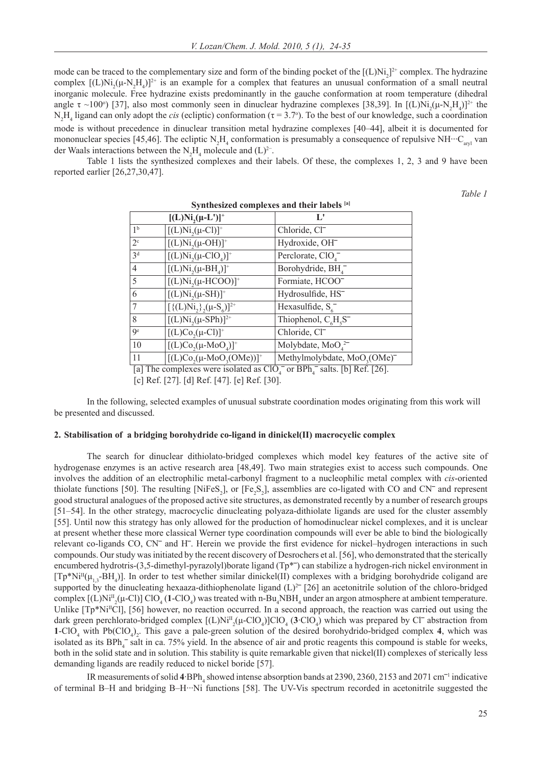mode can be traced to the complementary size and form of the binding pocket of the  $[(L)Ni<sub>2</sub>]^{2+}$  complex. The hydrazine complex  $[(L)Ni_{2}(\mu-N_{2}H_{4})]^{2+}$  is an example for a complex that features an unusual conformation of a small neutral inorganic molecule. Free hydrazine exists predominantly in the gauche conformation at room temperature (dihedral angle  $\tau \sim 100^\circ$ ) [37], also most commonly seen in dinuclear hydrazine complexes [38,39]. In [(L)Ni<sub>2</sub>( $\mu$ -N<sub>2</sub>H<sub>4</sub>)]<sup>2+</sup> the  $N_2H_4$  ligand can only adopt the *cis* (ecliptic) conformation (τ = 3.7°). To the best of our knowledge, such a coordination mode is without precedence in dinuclear transition metal hydrazine complexes [40–44], albeit it is documented for mononuclear species [45,46]. The ecliptic N<sub>2</sub>H<sub>4</sub> conformation is presumably a consequence of repulsive NH···C<sub>aryl</sub> van der Waals interactions between the  $N_2H_4$  molecule and (L)<sup>2-</sup>.

 Table 1 lists the synthesized complexes and their labels. Of these, the complexes 1, 2, 3 and 9 have been reported earlier [26,27,30,47].

*Table 1*

| Synthesized complexes and their labels [a] |                                                                              |                                                      |  |  |  |  |
|--------------------------------------------|------------------------------------------------------------------------------|------------------------------------------------------|--|--|--|--|
|                                            | $[(L)Ni, (\mu-L')]^{+}$                                                      | Ľ                                                    |  |  |  |  |
| 1 <sup>b</sup>                             | $[(L)Ni,(µ-Cl)]^+$                                                           | Chloride, Cl-                                        |  |  |  |  |
| $2^{\circ}$                                | $[(L)Ni2(\mu-OH)]+$                                                          | Hydroxide, OH <sup>-</sup>                           |  |  |  |  |
| 3 <sup>d</sup>                             | $[(L)Ni2(\mu-CIO4)]+$                                                        | Perclorate, $ClO4$                                   |  |  |  |  |
| $\overline{4}$                             | $[(L)Ni2(\mu-BH4)]+$                                                         | Borohydride, BH <sub>4</sub>                         |  |  |  |  |
| 5                                          | $[(L)Ni,(µ-HCOO)]^+$                                                         | Formiate, HCOO                                       |  |  |  |  |
| 6                                          | $[(L)Ni2(\mu-SH)]^{+}$                                                       | Hydrosulfide, HS <sup>-</sup>                        |  |  |  |  |
| 7                                          | $[\{(L)Ni, \}, (\mu-S_{6})]^{2+}$                                            | Hexasulfide, $S_6^-$                                 |  |  |  |  |
| 8                                          | $[(L)Ni,(µ-SPh)]^{2+}$                                                       | Thiophenol, $C_6H_5S^-$                              |  |  |  |  |
| <b>Qe</b>                                  | $[(L)Co2(\mu-Cl)]^{+}$                                                       | Chloride, Cl-                                        |  |  |  |  |
| 10                                         | $[(L)Co_{2}(\mu-MoO_{4})]^{+}$                                               | Molybdate, $MoO42$                                   |  |  |  |  |
| 11                                         | $[(L)Co2(\mu-MoO3(OMe))]^{+}$                                                | Methylmolybdate, MoO <sub>3</sub> (OMe) <sup>-</sup> |  |  |  |  |
|                                            | [a] The complexes were isolated as $CIO$ or RPh $\bar{ }$ salts [b] Ref [26] |                                                      |  |  |  |  |

[a] The complexes were isolated as  $ClO<sub>4</sub><sup>-</sup>$  or BPh<sub>4</sub><sup>-</sup> salts. [b] Ref. [26].

[c] Ref. [27]. [d] Ref. [47]. [e] Ref. [30].

 In the following, selected examples of unusual substrate coordination modes originating from this work will be presented and discussed.

#### **2. Stabilisation of a bridging borohydride co-ligand in dinickel(II) macrocyclic complex**

 The search for dinuclear dithiolato-bridged complexes which model key features of the active site of hydrogenase enzymes is an active research area [48,49]. Two main strategies exist to access such compounds. One involves the addition of an electrophilic metal-carbonyl fragment to a nucleophilic metal complex with *cis*-oriented thiolate functions [50]. The resulting [NiFeS<sub>2</sub>], or [Fe<sub>2</sub>S<sub>2</sub>], assemblies are co-ligated with CO and CN<sup> $-$ </sup> and represent good structural analogues of the proposed active site structures, as demonstrated recently by a number of research groups [51–54]. In the other strategy, macrocyclic dinucleating polyaza-dithiolate ligands are used for the cluster assembly [55]. Until now this strategy has only allowed for the production of homodinuclear nickel complexes, and it is unclear at present whether these more classical Werner type coordination compounds will ever be able to bind the biologically relevant co-ligands CO, CN<sup>-</sup> and H<sup>-</sup>. Herein we provide the first evidence for nickel–hydrogen interactions in such compounds. Our study was initiated by the recent discovery of Desrochers et al. [56], who demonstrated that the sterically encumbered hydrotris-(3,5-dimethyl-pyrazolyl)borate ligand ( $Tp^*$ ) can stabilize a hydrogen-rich nickel environment in  $[Tp^*Ni<sup>II</sup>( $\mu_{1,3}$ -BH<sub>4</sub>)].$  In order to test whether similar dinickel(II) complexes with a bridging borohydride coligand are supported by the dinucleating hexaaza-dithiophenolate ligand  $(L)^{2-}$  [26] an acetonitrile solution of the chloro-bridged complex  $[(L)Ni<sup>T</sup><sub>2</sub>(\mu-Cl)] ClO<sub>4</sub>(1-ClO<sub>4</sub>)$  was treated with n-Bu<sub>4</sub>NBH<sub>4</sub> under an argon atmosphere at ambient temperature. Unlike  $[Tp^*Ni<sup>T</sup>C]$ , [56] however, no reaction occurred. In a second approach, the reaction was carried out using the dark green perchlorato-bridged complex  $[(L)Ni<sup>T</sup><sub>2</sub>(\mu$ -ClO<sub>4</sub> $)]ClO<sub>4</sub>$  (**3**·ClO<sub>4</sub> $)$  which was prepared by Cl<sup> $-$ </sup> abstraction from **1-ClO<sub>4</sub>** with Pb(ClO<sub>4</sub>)<sub>2</sub>. This gave a pale-green solution of the desired borohydrido-bridged complex **4**, which was isolated as its  $BPh_4^-$  salt in ca. 75% yield. In the absence of air and protic reagents this compound is stable for weeks, both in the solid state and in solution. This stability is quite remarkable given that nickel(II) complexes of sterically less demanding ligands are readily reduced to nickel boride [57].

IR measurements of solid  $4$ ·BPh<sub>4</sub> showed intense absorption bands at 2390, 2360, 2153 and 2071 cm<sup>-1</sup> indicative of terminal B–H and bridging B–H···Ni functions [58]. The UV-Vis spectrum recorded in acetonitrile suggested the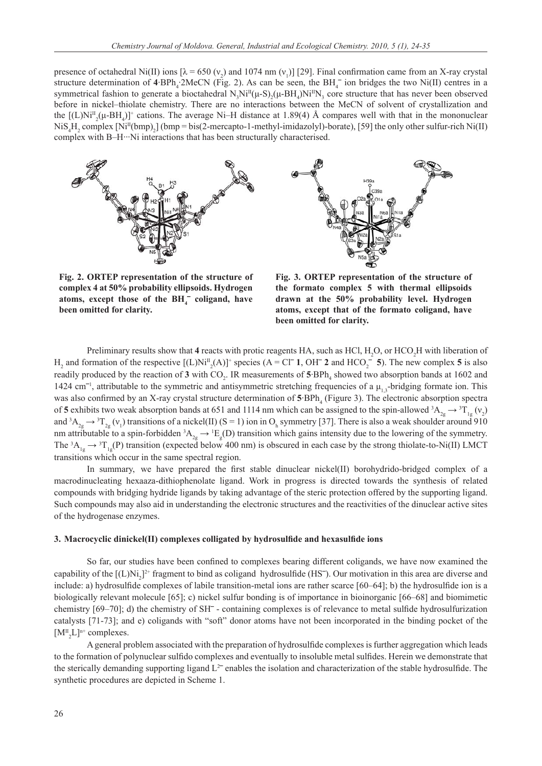presence of octahedral Ni(II) ions  $[\lambda = 650 \ (v_2)$  and 1074 nm  $(v_1)$ ] [29]. Final confirmation came from an X-ray crystal structure determination of  $4$ ·BPh<sub>4</sub>·2MeCN (Fig. 2). As can be seen, the BH<sub>4</sub><sup>-</sup> ion bridges the two Ni(II) centres in a symmetrical fashion to generate a bioctahedral  $N_3 Ni^{II}(\mu-S)_2(\mu-BH_4)Ni^{II}N_3$  core structure that has never been observed before in nickel–thiolate chemistry. There are no interactions between the MeCN of solvent of crystallization and the  $[(L)Ni<sup>T</sup><sub>2</sub>(\mu-BH<sub>4</sub>)]<sup>+</sup>$  cations. The average Ni–H distance at 1.89(4) Å compares well with that in the mononuclear  $\text{NiS}_4\text{H}_2$  complex  $\text{[Ni}^{\text{II}}(\text{bmp})_2\text{]}$  (bmp = bis(2-mercapto-1-methyl-imidazolyl)-borate), [59] the only other sulfur-rich Ni(II) complex with B–H…Ni interactions that has been structurally characterised.





**Fig. 2. ORTEP representation of the structure of complex 4 at 50% probability ellipsoids. Hydrogen**  atoms, except those of the BH<sub>4</sub><sup>-</sup> coligand, have **been omitted for clarity.**

**Fig. 3. ORTEP representation of the structure of the formato complex 5 with thermal ellipsoids drawn at the 50% probability level. Hydrogen atoms, except that of the formato coligand, have been omitted for clarity.**

Preliminary results show that  $4$  reacts with protic reagents HA, such as HCl,  $H_2O$ , or HCO<sub>2</sub>H with liberation of  $H_2$  and formation of the respective  $[(L)Ni^{\text{T}}_2(A)]^+$  species  $(A = Cl^- 1, OH^- 2$  and  $HCO_2^- 5)$ . The new complex 5 is also readily produced by the reaction of  $3$  with  $CO_2$ . IR measurements of  $5$ ·BPh<sub>4</sub> showed two absorption bands at 1602 and 1424 cm<sup>-1</sup>, attributable to the symmetric and antisymmetric stretching frequencies of a  $\mu_{1,3}$ -bridging formate ion. This was also confirmed by an X-ray crystal structure determination of 5 BPh<sub>4</sub> (Figure 3). The electronic absorption spectra of 5 exhibits two weak absorption bands at 651 and 1114 nm which can be assigned to the spin-allowed  ${}^3A_{2g} \rightarrow {}^3T_{1g} (v_2)$ and  ${}^3A_{2g} \rightarrow {}^3T_{2g} (v_1)$  transitions of a nickel(II) (S = 1) ion in O<sub>h</sub> symmetry [37]. There is also a weak shoulder around 910 nm attributable to a spin-forbidden  ${}^3A_{2g} \rightarrow {}^1E_g(D)$  transition which gains intensity due to the lowering of the symmetry. The  ${}^3A_{1g} \rightarrow {}^3T_{1g}$ (P) transition (expected below 400 nm) is obscured in each case by the strong thiolate-to-Ni(II) LMCT transitions which occur in the same spectral region.

In summary, we have prepared the first stable dinuclear nickel(II) borohydrido-bridged complex of a macrodinucleating hexaaza-dithiophenolate ligand. Work in progress is directed towards the synthesis of related compounds with bridging hydride ligands by taking advantage of the steric protection offered by the supporting ligand. Such compounds may also aid in understanding the electronic structures and the reactivities of the dinuclear active sites of the hydrogenase enzymes.

## **3. Macrocyclic dinickel(II) complexes colligated by hydrosulfi de and hexasulfi de ions**

So far, our studies have been confined to complexes bearing different coligands, we have now examined the capability of the  $[(L)Ni<sub>2</sub>]<sup>2+</sup> fragment to bind as coligand hydrosulfide (HS<sup>-</sup>). Our motivation in this area are diverse and$ include: a) hydrosulfide complexes of labile transition-metal ions are rather scarce  $[60-64]$ ; b) the hydrosulfide ion is a biologically relevant molecule [65]; c) nickel sulfur bonding is of importance in bioinorganic [66–68] and biomimetic chemistry  $[69–70]$ ; d) the chemistry of SH<sup> $-$ </sup> containing complexes is of relevance to metal sulfide hydrosulfurization catalysts [71-73]; and e) coligands with "soft" donor atoms have not been incorporated in the binding pocket of the  $[M^{\text{II}}_{2}L]^{n+}$  complexes.

A general problem associated with the preparation of hydrosulfide complexes is further aggregation which leads to the formation of polynuclear sulfido complexes and eventually to insoluble metal sulfides. Herein we demonstrate that the sterically demanding supporting ligand  $L^2$  enables the isolation and characterization of the stable hydrosulfide. The synthetic procedures are depicted in Scheme 1.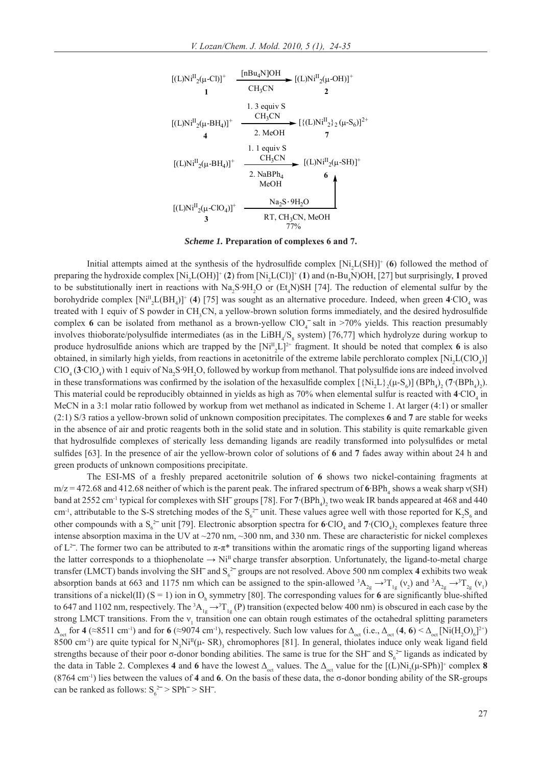

#### *Scheme 1.* **Preparation of complexes 6 and 7.**

Initial attempts aimed at the synthesis of the hydrosulfide complex  $[Ni_2L(SH)]^+$  (6) followed the method of preparing the hydroxide complex  $[Ni_2L(OH)]^+(2)$  from  $[Ni_2L(Cl)]^+(1)$  and  $(n-Bu_4N)OH$ , [27] but surprisingly, 1 proved to be substitutionally inert in reactions with  $Na_2S \cdot 9H_2O$  or  $(Et_4N)SH$  [74]. The reduction of elemental sulfur by the borohydride complex  $[Ni_{2}^{II}L(BH_{4})]^{+}$  (4) [75] was sought as an alternative procedure. Indeed, when green  $4 \text{ ClO}_4$  was treated with 1 equiv of S powder in  $CH_3CN$ , a yellow-brown solution forms immediately, and the desired hydrosulfide complex 6 can be isolated from methanol as a brown-yellow  $ClO<sub>4</sub><sup>-</sup>$  salt in >70% yields. This reaction presumably involves thioborate/polysulfide intermediates (as in the LiBH<sub>4</sub>/S<sub>8</sub> system) [76,77] which hydrolyze during workup to produce hydrosulfide anions which are trapped by the  $[Ni^{\text{II}}_{2}L]^{2+}$  fragment. It should be noted that complex **6** is also obtained, in similarly high yields, from reactions in acetonitrile of the extreme labile perchlorato complex  $[Ni_2L(CIO_4)]$  $ClO_4$  (3·ClO<sub>4</sub>) with 1 equiv of Na<sub>2</sub>S·9H<sub>2</sub>O, followed by workup from methanol. That polysulfide ions are indeed involved in these transformations was confirmed by the isolation of the hexasulfide complex  $[\{Ni_2L\}_2(\mu-S_6)]$  (BPh<sub>4</sub>)<sub>2</sub> (7·(BPh<sub>4</sub>)<sub>2</sub>). This material could be reproducibly obtainned in yields as high as  $70\%$  when elemental sulfur is reacted with  $4\text{ ClO}_4$  in MeCN in a 3:1 molar ratio followed by workup from wet methanol as indicated in Scheme 1. At larger (4:1) or smaller (2:1) S/3 ratios a yellow-brown solid of unknown composition precipitates. The complexes **6** and **7** are stable for weeks in the absence of air and protic reagents both in the solid state and in solution. This stability is quite remarkable given that hydrosulfide complexes of sterically less demanding ligands are readily transformed into polysulfides or metal sulfi des [63]. In the presence of air the yellow-brown color of solutions of **6** and **7** fades away within about 24 h and green products of unknown compositions precipitate.

The ESI-MS of a freshly prepared acetonitrile solution of **6** shows two nickel-containing fragments at  $m/z = 472.68$  and 412.68 neither of which is the parent peak. The infrared spectrum of 6 BPh<sub>4</sub> shows a weak sharp  $v(SH)$ band at 2552 cm<sup>-1</sup> typical for complexes with SH<sup>-</sup> groups [78]. For  $7 \cdot (BPh_4)_2$  two weak IR bands appeared at 468 and 440 cm<sup>-1</sup>, attributable to the S-S stretching modes of the  $S_6^2$  unit. These values agree well with those reported for  $K_2S_6$  and other compounds with a  $S_6^2$  unit [79]. Electronic absorption spectra for  $6 \text{ClO}_4$  and  $7 \cdot (\text{ClO}_4)_2$  complexes feature three intense absorption maxima in the UV at ~270 nm, ~300 nm, and 330 nm. These are characteristic for nickel complexes of  $L^2$ . The former two can be attributed to  $\pi \cdot \pi^*$  transitions within the aromatic rings of the supporting ligand whereas the latter corresponds to a thiophenolate  $\rightarrow$  Ni<sup>II</sup> charge transfer absorption. Unfortunately, the ligand-to-metal charge transfer (LMCT) bands involving the SH<sup> $-$ </sup> and S<sub>6</sub><sup>2–</sup> groups are not resolved. Above 500 nm complex 4 exhibits two weak absorption bands at 663 and 1175 nm which can be assigned to the spin-allowed  ${}^{3}A_{2g} \rightarrow {}^{3}T_{1g} (v_2)$  and  ${}^{3}A_{2g} \rightarrow {}^{3}T_{2g} (v_1)$ transitions of a nickel(II)  $(S = 1)$  ion in  $O_h$  symmetry [80]. The corresponding values for **6** are significantly blue-shifted to 647 and 1102 nm, respectively. The  ${}^3A_{1g} \rightarrow {}^3T_{1g}$  (P) transition (expected below 400 nm) is obscured in each case by the strong LMCT transitions. From the  $v_1$  transition one can obtain rough estimates of the octahedral splitting parameters  $\Delta_{\text{oct}}$  for **4** (≈8511 cm<sup>-1</sup>) and for **6** (≈9074 cm<sup>-1</sup>), respectively. Such low values for  $\Delta_{\text{oct}}$  (i.e.,  $\Delta_{\text{oct}}$  (**4**, **6**) <  $\Delta_{\text{oct}}$  [Ni(H<sub>2</sub>O)<sub>6</sub>]<sup>2+</sup>) 8500 cm<sup>-1</sup>) are quite typical for  $N_3 Ni^{II}(\mu - SR)$ <sub>3</sub> chromophores [81]. In general, thiolates induce only weak ligand field strengths because of their poor  $\sigma$ -donor bonding abilities. The same is true for the SH<sup> $-$ </sup> and S<sub>6</sub><sup>2–</sup> ligands as indicated by the data in Table 2. Complexes 4 and 6 have the lowest  $\Delta_{\text{oct}}$  values. The  $\Delta_{\text{oct}}$  value for the  $[(L)Ni_2(\mu$ -SPh)<sup>+</sup> complex 8 (8764 cm-1) lies between the values of **4** and **6**. On the basis of these data, the σ-donor bonding ability of the SR-groups can be ranked as follows:  $S_6^2 > SPh^- > SH^-$ .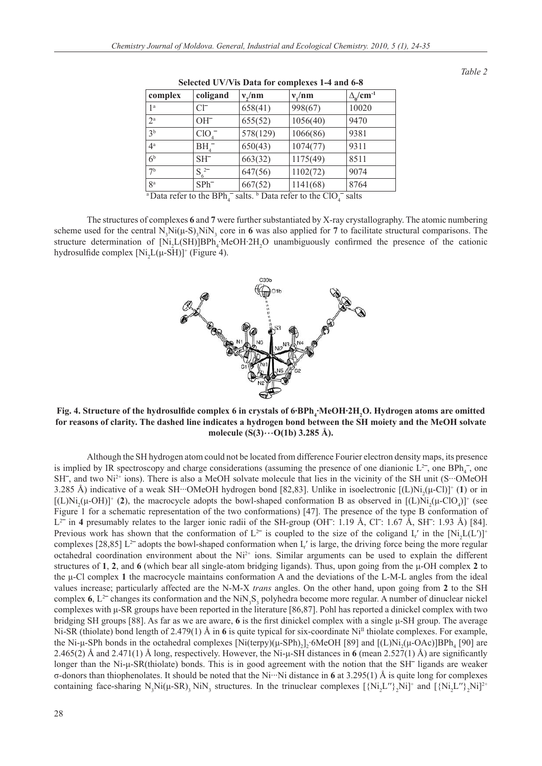| complex        | coligand         | $v_{\gamma}/nm$ | $v_{\nu}$ /nm                                                                                                                           | $\Delta_0 / \text{cm}^{-1}$ |
|----------------|------------------|-----------------|-----------------------------------------------------------------------------------------------------------------------------------------|-----------------------------|
| 1 <sup>a</sup> | $Cl^-$           | 658(41)         | 998(67)                                                                                                                                 | 10020                       |
| $2^{\rm a}$    | $OH^-$           | 655(52)         | 1056(40)                                                                                                                                | 9470                        |
| 3 <sup>b</sup> | ClO <sub>4</sub> | 578(129)        | 1066(86)                                                                                                                                | 9381                        |
| $4^{\rm a}$    | $BH^{-}_{4}$     | 650(43)         | 1074(77)                                                                                                                                | 9311                        |
| 6 <sup>b</sup> | $SH-$            | 663(32)         | 1175(49)                                                                                                                                | 8511                        |
| 7 <sup>b</sup> | $S_{c}^{2-}$     | 647(56)         | 1102(72)                                                                                                                                | 9074                        |
| 8 <sup>a</sup> | $SPh^-$          | 667(52)         | 1141(68)                                                                                                                                | 8764                        |
|                |                  |                 | $\frac{1}{4}$ Data refer to the BPh <sub>4</sub> <sup>-</sup> salts. <sup>b</sup> Data refer to the ClO <sub>4</sub> <sup>-</sup> salts |                             |

**Selected UV/Vis Data for complexes 1-4 and 6-8**

The structures of complexes **6** and **7** were further substantiated by X-ray crystallography. The atomic numbering scheme used for the central  $N_3 Ni(\mu-S_3NiN_3$  core in 6 was also applied for 7 to facilitate structural comparisons. The structure determination of [Ni<sub>2</sub>L(SH)]BPh<sub>4</sub>·MeOH·2H<sub>2</sub>O unambiguously confirmed the presence of the cationic hydrosulfide complex  $[Ni_2L(\mu\text{-}SH)]^+$  (Figure 4).



Fig. 4. Structure of the hydrosulfide complex 6 in crystals of 6·BPh<sub>4</sub>·MeOH·2H<sub>2</sub>O. Hydrogen atoms are omitted **for reasons of clarity. The dashed line indicates a hydrogen bond between the SH moiety and the MeOH solvate molecule (S(3)**···**O(1b) 3.285 Å).**

 Although the SH hydrogen atom could not be located from difference Fourier electron density maps, its presence is implied by IR spectroscopy and charge considerations (assuming the presence of one dianionic  $L^2$ , one BPh<sub>4</sub>, one SH<sup>-</sup>, and two Ni<sup>2+</sup> ions). There is also a MeOH solvate molecule that lies in the vicinity of the SH unit (S···OMeOH 3.285 Å) indicative of a weak SH···OMeOH hydrogen bond [82,83]. Unlike in isoelectronic  $[(L)Ni_{2}(\mu$ -Cl)]<sup>+</sup> (1) or in  $[(L)Ni<sub>2</sub>(\mu-OH)]^+$  (2), the macrocycle adopts the bowl-shaped conformation B as observed in  $[(L)Ni<sub>2</sub>(\mu-CIO<sub>4</sub>)]^+$  (see Figure 1 for a schematic representation of the two conformations) [47]. The presence of the type B conformation of  $L^{2-}$  in 4 presumably relates to the larger ionic radii of the SH-group (OH<sup>-</sup>: 1.19 Å, Cl<sup>-</sup>: 1.67 Å, SH<sup>-</sup>: 1.93 Å) [84]. Previous work has shown that the conformation of  $L^2$  is coupled to the size of the coligand L' in the  $[Ni_2L(L')]^+$ complexes  $[28,85]$  L<sup>2-</sup> adopts the bowl-shaped conformation when L' is large, the driving force being the more regular octahedral coordination environment about the  $Ni<sup>2+</sup>$  ions. Similar arguments can be used to explain the different structures of **1**, **2**, and **6** (which bear all single-atom bridging ligands). Thus, upon going from the μ-OH complex **2** to the μ-Cl complex **1** the macrocycle maintains conformation A and the deviations of the L-M-L angles from the ideal values increase; particularly affected are the N-M-X *trans* angles. On the other hand, upon going from **2** to the SH complex  $6$ ,  $L^{2-}$  changes its conformation and the NiN<sub>3</sub>S<sub>3</sub> polyhedra become more regular. A number of dinuclear nickel complexes with μ-SR groups have been reported in the literature [86,87]. Pohl has reported a dinickel complex with two bridging SH groups [88]. As far as we are aware, 6 is the first dinickel complex with a single μ-SH group. The average Ni-SR (thiolate) bond length of 2.479(1) Å in 6 is quite typical for six-coordinate Ni<sup>II</sup> thiolate complexes. For example, the Ni-μ-SPh bonds in the octahedral complexes  $[Ni(\text{terpy})(\mu\text{-SPh})_2]_2$  6MeOH [89] and  $[(L)Ni_2(\mu\text{-OAc})]BPh_4$  [90] are 2.465(2) Å and 2.471(1) Å long, respectively. However, the Ni-µ-SH distances in 6 (mean 2.527(1) Å) are significantly longer than the Ni-µ-SR(thiolate) bonds. This is in good agreement with the notion that the SH<sup>-</sup> ligands are weaker σ-donors than thiophenolates. It should be noted that the Ni···Ni distance in **6** at 3.295(1) Å is quite long for complexes containing face-sharing  $N_3Ni(\mu-SR)_3 NiN_3$  structures. In the trinuclear complexes  $[\{Ni_2L''\}_2Ni]^+$  and  $[\{Ni_2L''\}_2Ni]^2$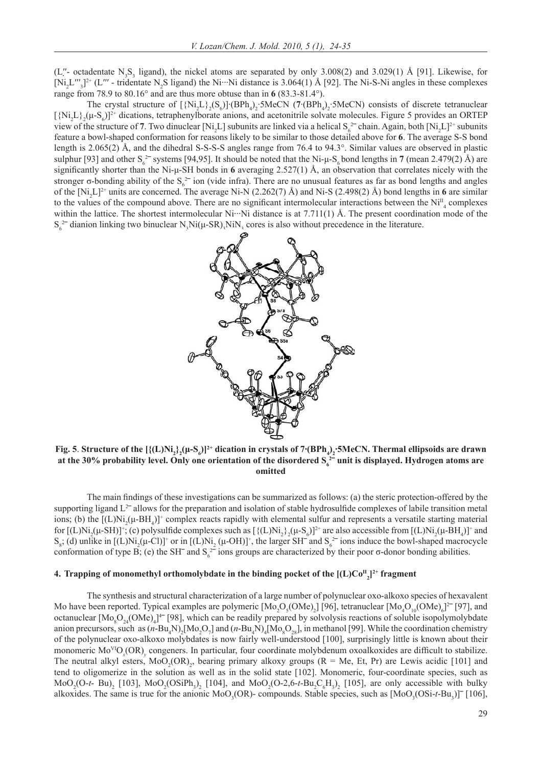(L''- octadentate  $N_3S_3$  ligand), the nickel atoms are separated by only 3.008(2) and 3.029(1) Å [91]. Likewise, for  $[Ni_2L''_3]^{2+}$  (L''' - tridentate N<sub>2</sub>S ligand) the Ni…Ni distance is 3.064(1) Å [92]. The Ni-S-Ni angles in these complexes range from 78.9 to 80.16° and are thus more obtuse than in **6** (83.3-81.4°).

The crystal structure of  $[\{Ni_2L\}_2(S_6)]$ ·(BPh<sub>4</sub>)<sub>2</sub>·5MeCN (7·(BPh<sub>4</sub>)<sub>2</sub>·5MeCN) consists of discrete tetranuclear  $[\{Ni_2L\}_2(\mu-S_6)]^{2+}$  dications, tetraphenylborate anions, and acetonitrile solvate molecules. Figure 5 provides an ORTEP view of the structure of 7. Two dinuclear [Ni<sub>2</sub>L] subunits are linked via a helical  $S_6^2$  chain. Again, both [Ni<sub>2</sub>L]<sup>2+</sup> subunits feature a bowl-shaped conformation for reasons likely to be similar to those detailed above for **6**. The average S-S bond length is 2.065(2) Å, and the dihedral S-S-S-S angles range from 76.4 to 94.3°. Similar values are observed in plastic sulphur [93] and other  $S_6^{2-}$  systems [94,95]. It should be noted that the Ni- $\mu$ - $S_6$  bond lengths in **7** (mean 2.479(2) Å) are significantly shorter than the Ni-μ-SH bonds in 6 averaging 2.527(1) Å, an observation that correlates nicely with the stronger  $\sigma$ -bonding ability of the  $S_6^2$  ion (vide infra). There are no unusual features as far as bond lengths and angles of the  $[Ni_2L]^2$ <sup>+</sup> units are concerned. The average Ni-N (2.262(7) Å) and Ni-S (2.498(2) Å) bond lengths in 6 are similar to the values of the compound above. There are no significant intermolecular interactions between the  $Ni<sup>H</sup><sub>4</sub>$  complexes within the lattice. The shortest intermolecular  $Ni··Ni$  distance is at 7.711(1) Å. The present coordination mode of the  $S_6^2$ <sup>-</sup> dianion linking two binuclear N<sub>3</sub>Ni( $\mu$ -SR)<sub>3</sub>NiN<sub>3</sub> cores is also without precedence in the literature.



**Fig. 5**. Structure of the  $[\{(L)Ni_2\}(\mu-S_6)]^{2+}$  dication in crystals of 7·(BPh<sub>4</sub>)<sub>2</sub>·5MeCN. Thermal ellipsoids are drawn at the 30% probability level. Only one orientation of the disordered  $S_6^2$  unit is displayed. Hydrogen atoms are **omitted**

The main findings of these investigations can be summarized as follows: (a) the steric protection-offered by the supporting ligand  $L^2$  allows for the preparation and isolation of stable hydrosulfide complexes of labile transition metal ions; (b) the  $[(L)Ni_{2}(\mu-BH_{4})]^{+}$  complex reacts rapidly with elemental sulfur and represents a versatile starting material for  $[(L)Ni_2(\mu-SH)]^+$ ; (c) polysulfide complexes such as  $[\{(L)Ni_2 \} _2(\mu-S_6)]^{2+}$  are also accessible from  $[(L)Ni_2(\mu-BH_4)]^+$  and  $S_8$ ; (d) unlike in [(L)Ni<sub>2</sub>( $\mu$ -Cl)]<sup>+</sup> or in [(L)Ni<sub>2</sub>( $\mu$ -OH)]<sup>+</sup>, the larger SH<sup>-</sup> and  $S_6^2$ <sup>-</sup> ions induce the bowl-shaped macrocycle conformation of type B; (e) the SH<sup> $-$ </sup> and S<sub>6</sub><sup> $2$ </sup> ions groups are characterized by their poor  $\sigma$ -donor bonding abilities.

# **4. Trapping of monomethyl orthomolybdate in the binding pocket of the [(L)CoII 2 ]2+ fragment**

 The synthesis and structural characterization of a large number of polynuclear oxo-alkoxo species of hexavalent Mo have been reported. Typical examples are polymeric  $[Mo_2O_5(OMe)_2]$  [96], tetranuclear  $[Mo_4O_{10}(OMe)_6]^2$  [97], and octanuclear  $[Mo_8O_{24}(OMe)_4]^{\text{4}+}$  [98], which can be readily prepared by solvolysis reactions of soluble isopolymolybdate anion precursors, such as  $(n-Bu_4N)_2[Mo_2O_7]$  and  $(n-Bu_4N)_4[Mo_8O_{28}]$ , in methanol [99]. While the coordination chemistry of the polynuclear oxo-alkoxo molybdates is now fairly well-understood [100], surprisingly little is known about their monomeric Mo<sup>VI</sup>O<sub>x</sub>(OR)<sub>y</sub> congeners. In particular, four coordinate molybdenum oxoalkoxides are difficult to stabilize. The neutral alkyl esters,  $MoO<sub>2</sub>(OR)<sub>2</sub>$ , bearing primary alkoxy groups (R = Me, Et, Pr) are Lewis acidic [101] and tend to oligomerize in the solution as well as in the solid state [102]. Monomeric, four-coordinate species, such as  $MoO<sub>2</sub>(O-t-Bu)<sub>2</sub>$  [103],  $MoO<sub>2</sub>(OSiPh<sub>3</sub>)<sub>2</sub>$  [104], and  $MoO<sub>2</sub>(O-2,6-t-Bu<sub>2</sub>C<sub>6</sub>H<sub>3</sub>)<sub>2</sub>$  [105], are only accessible with bulky alkoxides. The same is true for the anionic MoO<sub>3</sub>(OR)- compounds. Stable species, such as  $[Moo_3(OSi-t-Bu_3)]$ <sup>-</sup> [106],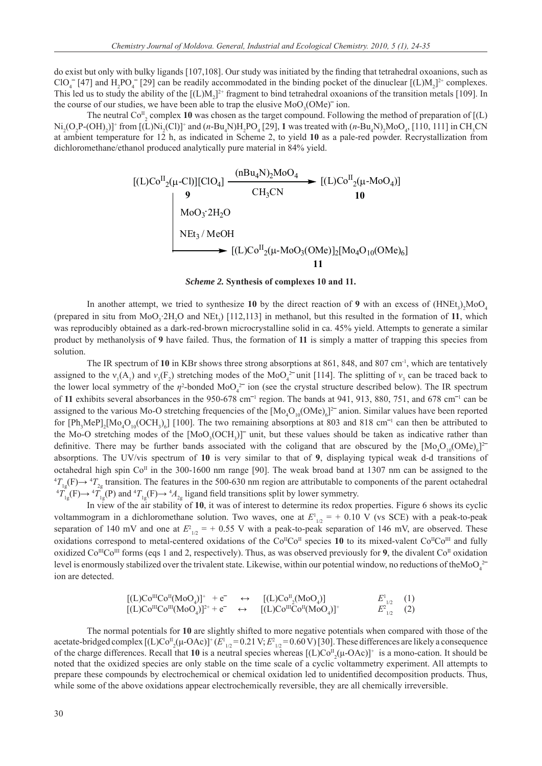do exist but only with bulky ligands [107,108]. Our study was initiated by the finding that tetrahedral oxoanions, such as  $ClO_4^-$  [47] and H<sub>2</sub>PO<sub>4</sub><sup>-</sup> [29] can be readily accommodated in the binding pocket of the dinuclear [(L)M<sub>2</sub>]<sup>2+</sup> complexes. This led us to study the ability of the  $[(L)M_2]^2$  fragment to bind tetrahedral oxoanions of the transition metals [109]. In the course of our studies, we have been able to trap the elusive  $MoO<sub>3</sub>(OMe)<sup>-</sup>$  ion.

The neutral  $Co_{2}^{II}$  complex 10 was chosen as the target compound. Following the method of preparation of  $[(L)$  $\text{Ni}_2(\text{O}_2\text{P} \text{-} (\text{OH})_2)$ <sup>+</sup> from [(L)Ni<sub>2</sub>(Cl)]<sup>+</sup> and (*n*-Bu<sub>4</sub>N)H<sub>2</sub>PO<sub>4</sub> [29], 1 was treated with (*n*-Bu<sub>4</sub>N)<sub>2</sub>MoO<sub>4</sub>, [110, 111] in CH<sub>3</sub>CN at ambient temperature for 12 h, as indicated in Scheme 2, to yield **10** as a pale-red powder. Recrystallization from dichloromethane/ethanol produced analytically pure material in 84% yield.

$$
\begin{array}{lll}\n[(L)Co^{II}_{2}(\mu\text{-}Cl)][ClO_{4}] & \xrightarrow{(nBu_{4}N)_{2}MoO_{4}} & [(L)Co^{II}_{2}(\mu\text{-}MoO_{4})] \\
 & \downarrow 9 & CH_{3}CN & 10 \\
& \text{MoO}_{3}^{2}H_{2}O & \\
& \searrow & \text{NEt}_{3}/\text{MeOH} \\
& \searrow [(L)Co^{II}_{2}(\mu\text{-}MoO_{3}(OMe)]_{2}[\text{Mo}_{4}O_{10}(OMe)_{6}] \\
& & 11\n\end{array}
$$

*Scheme 2.* **Synthesis of complexes 10 and 11.**

In another attempt, we tried to synthesize 10 by the direct reaction of 9 with an excess of  $(HNEt_3)$ <sub>2</sub>MoO<sub>4</sub> (prepared in situ from  $MoO_3$ : $2H_2O$  and  $NEt_3$ ) [112,113] in methanol, but this resulted in the formation of 11, which was reproducibly obtained as a dark-red-brown microcrystalline solid in ca. 45% yield. Attempts to generate a similar product by methanolysis of **9** have failed. Thus, the formation of **11** is simply a matter of trapping this species from solution.

The IR spectrum of 10 in KBr shows three strong absorptions at 861, 848, and 807 cm<sup>-1</sup>, which are tentatively assigned to the  $v_1(A_1)$  and  $v_3(F_2)$  stretching modes of the MoO<sub>4</sub><sup>2-</sup>unit [114]. The splitting of  $v_3$  can be traced back to the lower local symmetry of the  $\eta^2$ -bonded MoO<sub>4</sub><sup>2-</sup> ion (see the crystal structure described below). The IR spectrum of 11 exhibits several absorbances in the  $950-678$  cm<sup>-1</sup> region. The bands at  $941$ ,  $913$ ,  $880$ ,  $751$ , and  $678$  cm<sup>-1</sup> can be assigned to the various Mo-O stretching frequencies of the  $[Mo_4O_{10}(OMe)_6]^2$  anion. Similar values have been reported for  $[Ph_3MeP]_2[Mo_4O_{10}(OCH_3)_6]$  [100]. The two remaining absorptions at 803 and 818 cm<sup>-1</sup> can then be attributed to the Mo-O stretching modes of the  $[MoO<sub>3</sub>(OCH<sub>3</sub>)]$  unit, but these values should be taken as indicative rather than definitive. There may be further bands associated with the coligand that are obscured by the  $[Mo_4O_{10}(OMe)_6]^2$ absorptions. The UV/vis spectrum of **10** is very similar to that of **9**, displaying typical weak d-d transitions of octahedral high spin  $Co<sup>\Pi</sup>$  in the 300-1600 nm range [90]. The weak broad band at 1307 nm can be assigned to the  $T_{1g}(F) \rightarrow {}^4T_{2g}$  transition. The features in the 500-630 nm region are attributable to components of the parent octahedral  ${}^{4}T_{1g}(F) \rightarrow {}^{4}T_{1g}(F)$  and  ${}^{4}T_{1g}(F) \rightarrow {}^{4}A_{2g}$  ligand field transitions split by lower symmetry.

 In view of the air stability of **10**, it was of interest to determine its redox properties. Figure 6 shows its cyclic voltammogram in a dichloromethane solution. Two waves, one at  $E_{1/2}^1$  = + 0.10 V (vs SCE) with a peak-to-peak separation of 140 mV and one at  $E_{1/2}^2$  = + 0.55 V with a peak-to-peak separation of 146 mV, are observed. These oxidations correspond to metal-centered oxidations of the Co<sup>II</sup>Co<sup>II</sup> species 10 to its mixed-valent Co<sup>II</sup>Co<sup>III</sup> and fully oxidized Co<sup>III</sup>Co<sup>III</sup> forms (eqs 1 and 2, respectively). Thus, as was observed previously for **9**, the divalent Co<sup>II</sup> oxidation level is enormously stabilized over the trivalent state. Likewise, within our potential window, no reductions of theMoO<sub>4</sub><sup>2</sup> ion are detected.

$$
\begin{array}{llll}\n[(L)Co^{III}Co^{II}(MoO_{4})]^{+} + e^{-} & \leftrightarrow & [(L)Co^{II}(MoO_{4})] & E^{1}_{1/2} & (1) \\
[(L)Co^{III}Co^{III}(MoO_{4})]^{2+} + e^{-} & \leftrightarrow & [(L)Co^{III}Co^{II}(MoO_{4})]^{+} & E^{2}_{1/2} & (2)\n\end{array}
$$

 The normal potentials for **10** are slightly shifted to more negative potentials when compared with those of the acetate-bridged complex  $[(L)Co_{2}^{II}(\mu-OAc)]^{+}(E_{1/2}^{I}=0.21 \text{ V}; E_{1/2}^{2}=0.60 \text{ V})$  [30]. These differences are likely a consequence of the charge differences. Recall that 10 is a neutral species whereas  $[(L)Co_{2}^{II}(\mu-OAc)]^{+}$  is a mono-cation. It should be noted that the oxidized species are only stable on the time scale of a cyclic voltammetry experiment. All attempts to prepare these compounds by electrochemical or chemical oxidation led to unidentified decomposition products. Thus, while some of the above oxidations appear electrochemically reversible, they are all chemically irreversible.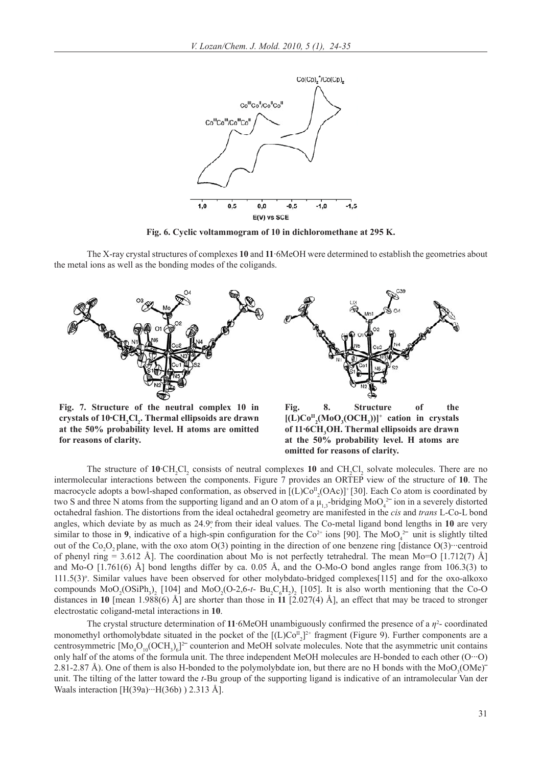

**Fig. 6. Cyclic voltammogram of 10 in dichloromethane at 295 K.**

 The X-ray crystal structures of complexes **10** and **11**·6MeOH were determined to establish the geometries about the metal ions as well as the bonding modes of the coligands.



**Fig. 7. Structure of the neutral complex 10 in**  crystals of 10·CH<sub>2</sub>Cl<sub>2</sub>. Thermal ellipsoids are drawn **at the 50% probability level. H atoms are omitted for reasons of clarity.**

**Fig. 8. Structure of the**   $[(L)Co<sup>H</sup><sub>2</sub>(MoO<sub>3</sub>(OCH<sub>3</sub>))]<sup>+</sup>$  cation in crystals of 11<sup>.6</sup>CH<sub>3</sub>OH. Thermal ellipsoids are drawn **at the 50% probability level. H atoms are omitted for reasons of clarity.**

The structure of  $10 \text{ } CH_2Cl_2$  consists of neutral complexes  $10$  and  $CH_2Cl_2$  solvate molecules. There are no intermolecular interactions between the components. Figure 7 provides an ORTEP view of the structure of **10**. The macrocycle adopts a bowl-shaped conformation, as observed in  $[(L)Co_{2}^{II}(OAc)]^{+}[30]$ . Each Co atom is coordinated by two S and three N atoms from the supporting ligand and an O atom of a  $\mu_{1,3}$ -bridging MoO<sub>4</sub><sup>2-</sup> ion in a severely distorted octahedral fashion. The distortions from the ideal octahedral geometry are manifested in the *cis* and *trans* L-Co-L bond angles, which deviate by as much as 24.9° from their ideal values. The Co-metal ligand bond lengths in 10 are very similar to those in 9, indicative of a high-spin configuration for the  $Co^{2+}$  ions [90]. The MoO<sub>4</sub><sup>2-</sup> unit is slightly tilted out of the  $Co_2O_2$  plane, with the oxo atom O(3) pointing in the direction of one benzene ring [distance O(3)···· centroid of phenyl ring = 3.612 Å]. The coordination about Mo is not perfectly tetrahedral. The mean Mo=O [1.712(7) Å] and Mo-O  $[1.761(6)$  Å] bond lengths differ by ca. 0.05 Å, and the O-Mo-O bond angles range from 106.3(3) to  $111.5(3)$ °. Similar values have been observed for other molybdato-bridged complexes[115] and for the oxo-alkoxo compounds  $MoO<sub>2</sub>(OSiPh<sub>3</sub>)<sub>2</sub>$  [104] and  $MoO<sub>2</sub>(O-2,6-t-Bu<sub>2</sub>C<sub>6</sub>H<sub>2</sub>)<sub>2</sub>$  [105]. It is also worth mentioning that the Co-O distances in **10** [mean 1.988(6) Å] are shorter than those in **11** [2.027(4) Å], an effect that may be traced to stronger electrostatic coligand-metal interactions in **10**.

The crystal structure determination of 11 $\cdot$ 6MeOH unambiguously confirmed the presence of a  $\eta^2$ -coordinated monomethyl orthomolybdate situated in the pocket of the  $[(L)Co_{2}]^{2+}$  fragment (Figure 9). Further components are a centrosymmetric  $[Mo_4O_{10}(OCH_3)_6]^2$  counterion and MeOH solvate molecules. Note that the asymmetric unit contains only half of the atoms of the formula unit. The three independent MeOH molecules are H-bonded to each other (O···O) 2.81-2.87 Å). One of them is also H-bonded to the polymolybdate ion, but there are no H bonds with the  $MoO<sub>3</sub>(OMe)$ unit. The tilting of the latter toward the *t-*Bu group of the supporting ligand is indicative of an intramolecular Van der Waals interaction  $[H(39a)\cdots H(36b)$  ) 2.313 Å].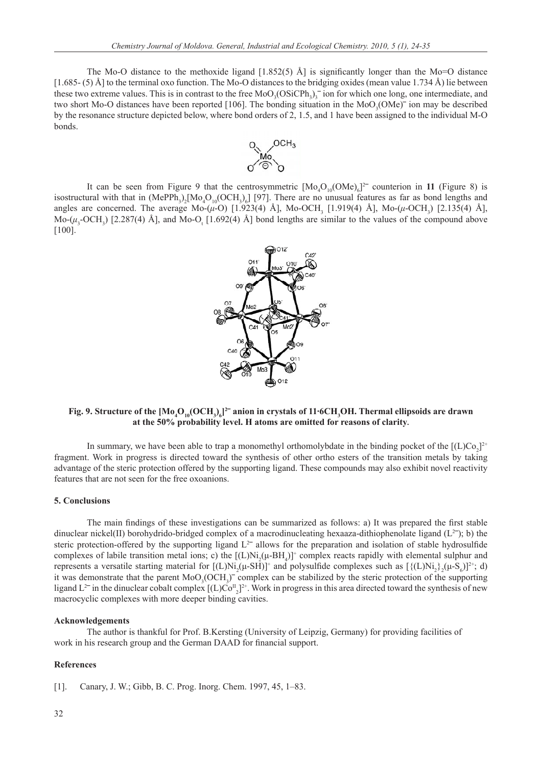The Mo-O distance to the methoxide ligand  $[1.852(5)$  Å] is significantly longer than the Mo=O distance  $[1.685- (5)$  Å] to the terminal oxo function. The Mo-O distances to the bridging oxides (mean value 1.734 Å) lie between these two extreme values. This is in contrast to the free  $MoO<sub>3</sub>(OSiCPh<sub>3</sub>)<sub>3</sub>$  on for which one long, one intermediate, and two short Mo-O distances have been reported [106]. The bonding situation in the  $MoO<sub>3</sub>(OMe)<sup>-</sup>$  ion may be described by the resonance structure depicted below, where bond orders of 2, 1.5, and 1 have been assigned to the individual M-O bonds.



It can be seen from Figure 9 that the centrosymmetric  $[Mo<sub>4</sub>O<sub>10</sub>(OMe)<sub>6</sub>]<sup>2</sup>$  counterion in 11 (Figure 8) is isostructural with that in  $(MePPh_3)_2[Mo_4O_{10}(OCH_3)_6]$  [97]. There are no unusual features as far as bond lengths and angles are concerned. The average Mo-(*μ*-O) [1.923(4) Å], Mo-OCH<sub>3</sub> [1.919(4) Å], Mo-(*μ*-OCH<sub>3</sub>) [2.135(4) Å], Mo- $(\mu_3$ -OCH<sub>3</sub>) [2.287(4) Å], and Mo-O<sub>t</sub> [1.692(4) Å] bond lengths are similar to the values of the compound above [100].



## Fig. 9. Structure of the  $[Mo_4O_{10}(OCH_3)_6]^2$  anion in crystals of 11·6CH<sub>3</sub>OH. Thermal ellipsoids are drawn **at the 50% probability level. H atoms are omitted for reasons of clarity.**

In summary, we have been able to trap a monomethyl orthomolybdate in the binding pocket of the  $[(L)Co<sub>2</sub>]<sup>2+</sup>$ fragment. Work in progress is directed toward the synthesis of other ortho esters of the transition metals by taking advantage of the steric protection offered by the supporting ligand. These compounds may also exhibit novel reactivity features that are not seen for the free oxoanions.

#### **5. Conclusions**

The main findings of these investigations can be summarized as follows: a) It was prepared the first stable dinuclear nickel(II) borohydrido-bridged complex of a macrodinucleating hexaaza-dithiophenolate ligand  $(L^2)$ ; b) the steric protection-offered by the supporting ligand  $L^2$  allows for the preparation and isolation of stable hydrosulfide complexes of labile transition metal ions; c) the  $[(L)Ni_{2}(\mu-BH_{4})]^{+}$  complex reacts rapidly with elemental sulphur and represents a versatile starting material for  $[(L)Ni_{2}(\mu-SH)]^{+}$  and polysulfide complexes such as  $[\{(L)Ni_{2}\} _{2}(\mu-S_{6})]^{2+}$ ; d) it was demonstrate that the parent  $MoO<sub>3</sub>(OCH<sub>3</sub>)<sup>-</sup>$  complex can be stabilized by the steric protection of the supporting ligand  $L^2$  in the dinuclear cobalt complex  $[(L)Co^T]_2^{2+}$ . Work in progress in this area directed toward the synthesis of new macrocyclic complexes with more deeper binding cavities.

## **Acknowledgements**

 The author is thankful for Prof. B.Kersting (University of Leipzig, Germany) for providing facilities of work in his research group and the German DAAD for financial support.

# **References**

[1]. Canary, J. W.; Gibb, B. C. Prog. Inorg. Chem. 1997, 45, 1–83.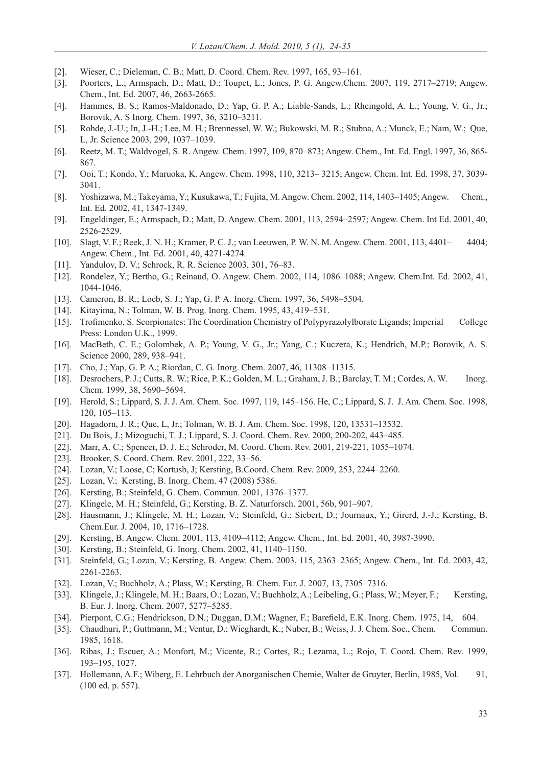- [2]. Wieser, C.; Dieleman, C. B.; Matt, D. Coord. Chem. Rev. 1997, 165, 93–161.
- [3]. Poorters, L.; Armspach, D.; Matt, D.; Toupet, L.; Jones, P. G. Angew.Chem. 2007, 119, 2717–2719; Angew. Chem., Int. Ed. 2007, 46, 2663-2665.
- [4]. Hammes, B. S.; Ramos-Maldonado, D.; Yap, G. P. A.; Liable-Sands, L.; Rheingold, A. L.; Young, V. G., Jr.; Borovik, A. S Inorg. Chem. 1997, 36, 3210–3211.
- [5]. Rohde, J.-U.; In, J.-H.; Lee, M. H.; Brennessel, W. W.; Bukowski, M. R.; Stubna, A.; Munck, E.; Nam, W.; Que, L, Jr. Science 2003, 299, 1037–1039.
- [6]. Reetz, M. T.; Waldvogel, S. R. Angew. Chem. 1997, 109, 870–873; Angew. Chem., Int. Ed. Engl. 1997, 36, 865- 867.
- [7]. Ooi, T.; Kondo, Y.; Maruoka, K. Angew. Chem. 1998, 110, 3213– 3215; Angew. Chem. Int. Ed. 1998, 37, 3039- 3041.
- [8]. Yoshizawa, M.; Takeyama, Y.; Kusukawa, T.; Fujita, M. Angew. Chem. 2002, 114, 1403–1405; Angew. Chem., Int. Ed. 2002, 41, 1347-1349.
- [9]. Engeldinger, E.; Armspach, D.; Matt, D. Angew. Chem. 2001, 113, 2594–2597; Angew. Chem. Int Ed. 2001, 40, 2526-2529.
- [10]. Slagt, V. F.; Reek, J. N. H.; Kramer, P. C. J.; van Leeuwen, P. W. N. M. Angew. Chem. 2001, 113, 4401– 4404; Angew. Chem., Int. Ed. 2001, 40, 4271-4274.
- [11]. Yandulov, D. V.; Schrock, R. R. Science 2003, 301, 76–83.
- [12]. Rondelez, Y.; Bertho, G.; Reinaud, O. Angew. Chem. 2002, 114, 1086–1088; Angew. Chem.Int. Ed. 2002, 41, 1044-1046.
- [13]. Cameron, B. R.; Loeb, S. J.; Yap, G. P. A. Inorg. Chem. 1997, 36, 5498–5504.
- [14]. Kitayima, N.; Tolman, W. B. Prog. Inorg. Chem. 1995, 43, 419–531.
- [15]. Trofi menko, S. Scorpionates: The Coordination Chemistry of Polypyrazolylborate Ligands; Imperial College Press: London U.K., 1999.
- [16]. MacBeth, C. E.; Golombek, A. P.; Young, V. G., Jr.; Yang, C.; Kuczera, K.; Hendrich, M.P.; Borovik, A. S. Science 2000, 289, 938–941.
- [17]. Cho, J.; Yap, G. P. A.; Riordan, C. G. Inorg. Chem. 2007, 46, 11308–11315.
- [18]. Desrochers, P. J.; Cutts, R. W.; Rice, P. K.; Golden, M. L.; Graham, J. B.; Barclay, T. M.; Cordes, A. W. Inorg. Chem. 1999, 38, 5690–5694.
- [19]. Herold, S.; Lippard, S. J. J. Am. Chem. Soc. 1997, 119, 145–156. He, C.; Lippard, S. J. J. Am. Chem. Soc. 1998, 120, 105–113.
- [20]. Hagadorn, J. R.; Que, L, Jr.; Tolman, W. B. J. Am. Chem. Soc. 1998, 120, 13531–13532.
- [21]. Du Bois, J.; Mizoguchi, T. J.; Lippard, S. J. Coord. Chem. Rev. 2000, 200-202, 443-485.
- [22]. Marr, A. C.; Spencer, D. J. E.; Schroder, M. Coord. Chem. Rev. 2001, 219-221, 1055–1074.
- [23]. Brooker, S. Coord. Chem. Rev. 2001, 222, 33–56.
- [24]. Lozan, V.; Loose, C; Kortusb, J; Kersting, B.Coord. Chem. Rev. 2009, 253, 2244–2260.
- [25]. Lozan, V.; Kersting, B. Inorg. Chem. 47 (2008) 5386.
- [26]. Kersting, B.; Steinfeld, G. Chem. Commun. 2001, 1376–1377.
- [27]. Klingele, M. H.; Steinfeld, G.; Kersting, B. Z. Naturforsch. 2001, 56b, 901–907.
- [28]. Hausmann, J.; Klingele, M. H.; Lozan, V.; Steinfeld, G.; Siebert, D.; Journaux, Y.; Girerd, J.-J.; Kersting, B. Chem.Eur. J. 2004, 10, 1716–1728.
- [29]. Kersting, B. Angew. Chem. 2001, 113, 4109–4112; Angew. Chem., Int. Ed. 2001, 40, 3987-3990.
- [30]. Kersting, B.; Steinfeld, G. Inorg. Chem. 2002, 41, 1140–1150.
- [31]. Steinfeld, G.; Lozan, V.; Kersting, B. Angew. Chem. 2003, 115, 2363-2365; Angew. Chem., Int. Ed. 2003, 42, 2261-2263.
- [32]. Lozan, V.; Buchholz, A.; Plass, W.; Kersting, B. Chem. Eur. J. 2007, 13, 7305–7316.
- [33]. Klingele, J.; Klingele, M. H.; Baars, O.; Lozan, V.; Buchholz, A.; Leibeling, G.; Plass, W.; Meyer, F.; Kersting, B. Eur. J. Inorg. Chem. 2007, 5277–5285.
- [34]. Pierpont, C.G.; Hendrickson, D.N.; Duggan, D.M.; Wagner, F.; Barefield, E.K. Inorg. Chem. 1975, 14, 604.
- [35]. Chaudhuri, P.; Guttmann, M.; Ventur, D.; Wieghardt, K.; Nuber, B.; Weiss, J. J. Chem. Soc., Chem. Commun. 1985, 1618.
- [36]. Ribas, J.; Escuer, A.; Monfort, M.; Vicente, R.; Cortes, R.; Lezama, L.; Rojo, T. Coord. Chem. Rev. 1999, 193–195, 1027.
- [37]. Hollemann, A.F.; Wiberg, E. Lehrbuch der Anorganischen Chemie, Walter de Gruyter, Berlin, 1985, Vol. 91, (100 ed, p. 557).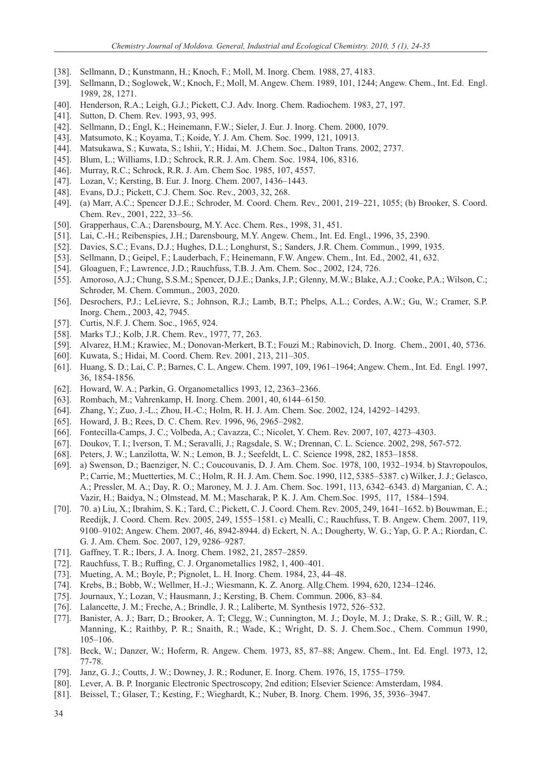- [38]. Sellmann, D.; Kunstmann, H.; Knoch, F.; Moll, M. Inorg. Chem. 1988, 27, 4183.
- [39]. Sellmann, D.; Soglowek, W.; Knoch, F.; Moll, M. Angew. Chem. 1989, 101, 1244; Angew. Chem., Int. Ed. Engl. 1989, 28, 1271.
- [40]. Henderson, R.A.; Leigh, G.J.; Pickett, C.J. Adv. Inorg. Chem. Radiochem. 1983, 27, 197.
- [41]. Sutton, D. Chem. Rev. 1993, 93, 995.
- [42]. Sellmann, D.; Engl, K.; Heinemann, F.W.; Sieler, J. Eur. J. Inorg. Chem. 2000, 1079.
- [43]. Matsumoto, K.; Koyama, T.; Koide, Y. J. Am. Chem. Soc. 1999, 121, 10913.
- [44]. Matsukawa, S.; Kuwata, S.; Ishii, Y.; Hidai, M. J.Chem. Soc., Dalton Trans. 2002, 2737.
- [45]. Blum, L.; Williams, I.D.; Schrock, R.R. J. Am. Chem. Soc. 1984, 106, 8316.
- [46]. Murray, R.C.; Schrock, R.R. J. Am. Chem Soc. 1985, 107, 4557.
- [47]. Lozan, V.; Kersting, B. Eur. J. Inorg. Chem. 2007, 1436–1443.
- [48]. Evans, D.J.; Pickett, C.J. Chem. Soc. Rev., 2003, 32, 268.
- [49]. (a) Marr, A.C.; Spencer D.J.E.; Schroder, M. Coord. Chem. Rev., 2001, 219–221, 1055; (b) Brooker, S. Coord. Chem. Rev., 2001, 222, 33–56.
- [50]. Grapperhaus, C.A.; Darensbourg, M.Y. Acc. Chem. Res., 1998, 31, 451.
- [51]. Lai, C.-H.; Reibenspies, J.H.; Darensbourg, M.Y. Angew. Chem., Int. Ed. Engl., 1996, 35, 2390.
- [52]. Davies, S.C.; Evans, D.J.; Hughes, D.L.; Longhurst, S.; Sanders, J.R. Chem. Commun., 1999, 1935.
- [53]. Sellmann, D.; Geipel, F.; Lauderbach, F.; Heinemann, F.W. Angew. Chem., Int. Ed., 2002, 41, 632.
- [54]. Gloaguen, F.; Lawrence, J.D.; Rauchfuss, T.B. J. Am. Chem. Soc., 2002, 124, 726.
- [55]. Amoroso, A.J.; Chung, S.S.M.; Spencer, D.J.E.; Danks, J.P.; Glenny, M.W.; Blake, A.J.; Cooke, P.A.; Wilson, C.; Schroder, M. Chem. Commun., 2003, 2020.
- [56]. Desrochers, P.J.; LeLievre, S.; Johnson, R.J.; Lamb, B.T.; Phelps, A.L.; Cordes, A.W.; Gu, W.; Cramer, S.P. Inorg. Chem., 2003, 42, 7945.
- [57]. Curtis, N.F. J. Chem. Soc., 1965, 924.
- [58]. Marks T.J.; Kolb, J.R. Chem. Rev., 1977, 77, 263.
- [59]. Alvarez, H.M.; Krawiec, M.; Donovan-Merkert, B.T.; Fouzi M.; Rabinovich, D. Inorg. Chem., 2001, 40, 5736.
- [60]. Kuwata, S.; Hidai, M. Coord. Chem. Rev. 2001, 213, 211–305.
- [61]. Huang, S. D.; Lai, C. P.; Barnes, C. L. Angew. Chem. 1997, 109, 1961–1964; Angew. Chem., Int. Ed. Engl. 1997, 36, 1854-1856.
- [62]. Howard, W. A.; Parkin, G. Organometallics 1993, 12, 2363–2366.
- [63]. Rombach, M.; Vahrenkamp, H. Inorg. Chem. 2001, 40, 6144–6150.
- [64]. Zhang, Y.; Zuo, J.-L.; Zhou, H.-C.; Holm, R. H. J. Am. Chem. Soc. 2002, 124, 14292–14293.
- [65]. Howard, J. B.; Rees, D. C. Chem. Rev. 1996, 96, 2965–2982.
- [66]. Fontecilla-Camps, J. C.; Volbeda, A.; Cavazza, C.; Nicolet, Y. Chem. Rev. 2007, 107, 4273-4303.
- [67]. Doukov, T. I.; Iverson, T. M.; Seravalli, J.; Ragsdale, S. W.; Drennan, C. L. Science. 2002, 298, 567-572.
- [68]. Peters, J. W.; Lanzilotta, W. N.; Lemon, B. J.; Seefeldt, L. C. Science 1998, 282, 1853–1858.
- [69]. a) Swenson, D.; Baenziger, N. C.; Coucouvanis, D. J. Am. Chem. Soc. 1978, 100, 1932–1934. b) Stavropoulos, P.; Carrie, M.; Muetterties, M. C.; Holm, R. H. J. Am. Chem. Soc. 1990, 112, 5385–5387. c) Wilker, J. J.; Gelasco, A.; Pressler, M. A.; Day, R. O.; Maroney, M. J. J. Am. Chem. Soc. 1991, 113, 6342–6343. d) Marganian, C. A.; Vazir, H.; Baidya, N.; Olmstead, M. M.; Mascharak, P. K. J. Am. Chem.Soc. 1995, 117, 1584–1594.
- [70]. 70. a) Liu, X.; Ibrahim, S. K.; Tard, C.; Pickett, C. J. Coord. Chem. Rev. 2005, 249, 1641–1652. b) Bouwman, E.; Reedijk, J. Coord. Chem. Rev. 2005, 249, 1555–1581. c) Mealli, C.; Rauchfuss, T. B. Angew. Chem. 2007, 119, 9100–9102; Angew. Chem. 2007, 46, 8942-8944. d) Eckert, N. A.; Dougherty, W. G.; Yap, G. P. A.; Riordan, C. G. J. Am. Chem. Soc. 2007, 129, 9286–9287.
- [71]. Gaffney, T. R.; Ibers, J. A. Inorg. Chem. 1982, 21, 2857–2859.
- [72]. Rauchfuss, T. B.; Ruffing, C. J. Organometallics 1982, 1, 400–401.
- [73]. Mueting, A. M.; Boyle, P.; Pignolet, L. H. Inorg. Chem. 1984, 23, 44–48.
- [74]. Krebs, B.; Bobb, W.; Wellmer, H.-J.; Wiesmann, K. Z. Anorg. Allg.Chem. 1994, 620, 1234–1246.
- [75]. Journaux, Y.; Lozan, V.; Hausmann, J.; Kersting, B. Chem. Commun. 2006, 83–84.
- [76]. Lalancette, J. M.; Freche, A.; Brindle, J. R.; Laliberte, M. Synthesis 1972, 526–532.
- [77]. Banister, A. J.; Barr, D.; Brooker, A. T; Clegg, W.; Cunnington, M. J.; Doyle, M. J.; Drake, S. R.; Gill, W. R.; Manning, K.; Raithby, P. R.; Snaith, R.; Wade, K.; Wright, D. S. J. Chem.Soc., Chem. Commun 1990, 105–106.
- [78]. Beck, W.; Danzer, W.; Hoferm, R. Angew. Chem. 1973, 85, 87–88; Angew. Chem., Int. Ed. Engl. 1973, 12, 77-78.
- [79]. Janz, G. J.; Coutts, J. W.; Downey, J. R.; Roduner, E. Inorg. Chem. 1976, 15, 1755–1759.
- [80]. Lever, A. B. P. Inorganic Electronic Spectroscopy, 2nd edition; Elsevier Science: Amsterdam, 1984.
- [81]. Beissel, T.; Glaser, T.; Kesting, F.; Wieghardt, K.; Nuber, B. Inorg. Chem. 1996, 35, 3936–3947.